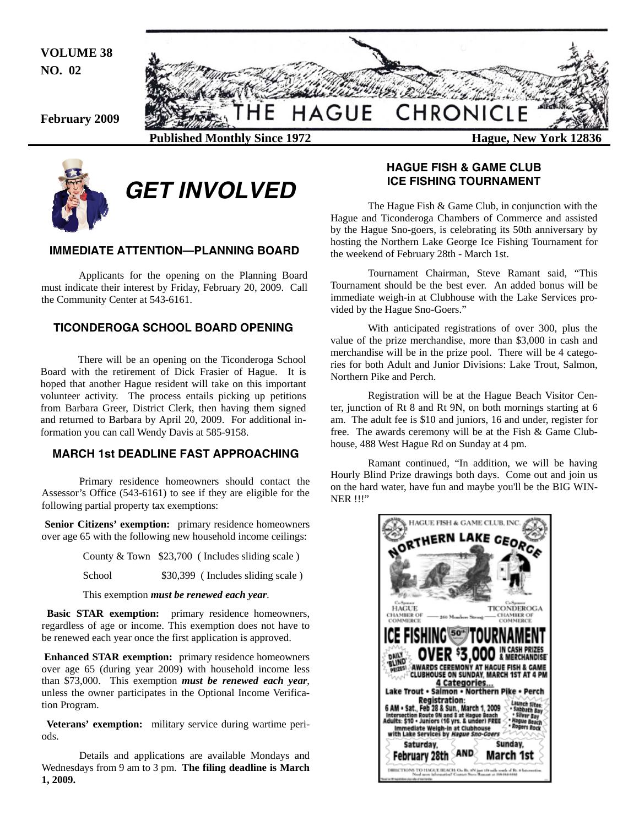**VOLUME 38 NO. 02** 





# *GET INVOLVED*

## **IMMEDIATE ATTENTION—PLANNING BOARD**

 Applicants for the opening on the Planning Board must indicate their interest by Friday, February 20, 2009. Call the Community Center at 543-6161.

## **TICONDEROGA SCHOOL BOARD OPENING**

 There will be an opening on the Ticonderoga School Board with the retirement of Dick Frasier of Hague. It is hoped that another Hague resident will take on this important volunteer activity. The process entails picking up petitions from Barbara Greer, District Clerk, then having them signed and returned to Barbara by April 20, 2009. For additional information you can call Wendy Davis at 585-9158.

## **MARCH 1st DEADLINE FAST APPROACHING**

 Primary residence homeowners should contact the Assessor's Office (543-6161) to see if they are eligible for the following partial property tax exemptions:

Senior Citizens' exemption: primary residence homeowners over age 65 with the following new household income ceilings:

County & Town \$23,700 ( Includes sliding scale )

School  $$30,399$  (Includes sliding scale)

This exemption *must be renewed each year*.

**Basic STAR exemption:** primary residence homeowners, regardless of age or income. This exemption does not have to be renewed each year once the first application is approved.

**Enhanced STAR exemption:** primary residence homeowners over age 65 (during year 2009) with household income less than \$73,000. This exemption *must be renewed each year*, unless the owner participates in the Optional Income Verification Program.

**Veterans' exemption:** military service during wartime periods.

Details and applications are available Mondays and Wednesdays from 9 am to 3 pm. **The filing deadline is March 1, 2009.** 

## **HAGUE FISH & GAME CLUB ICE FISHING TOURNAMENT**

 The Hague Fish & Game Club, in conjunction with the Hague and Ticonderoga Chambers of Commerce and assisted by the Hague Sno-goers, is celebrating its 50th anniversary by hosting the Northern Lake George Ice Fishing Tournament for the weekend of February 28th - March 1st.

 Tournament Chairman, Steve Ramant said, "This Tournament should be the best ever. An added bonus will be immediate weigh-in at Clubhouse with the Lake Services provided by the Hague Sno-Goers."

 With anticipated registrations of over 300, plus the value of the prize merchandise, more than \$3,000 in cash and merchandise will be in the prize pool. There will be 4 categories for both Adult and Junior Divisions: Lake Trout, Salmon, Northern Pike and Perch.

 Registration will be at the Hague Beach Visitor Center, junction of Rt 8 and Rt 9N, on both mornings starting at 6 am. The adult fee is \$10 and juniors, 16 and under, register for free. The awards ceremony will be at the Fish & Game Clubhouse, 488 West Hague Rd on Sunday at 4 pm.

 Ramant continued, "In addition, we will be having Hourly Blind Prize drawings both days. Come out and join us on the hard water, have fun and maybe you'll be the BIG WIN-NER !!!"

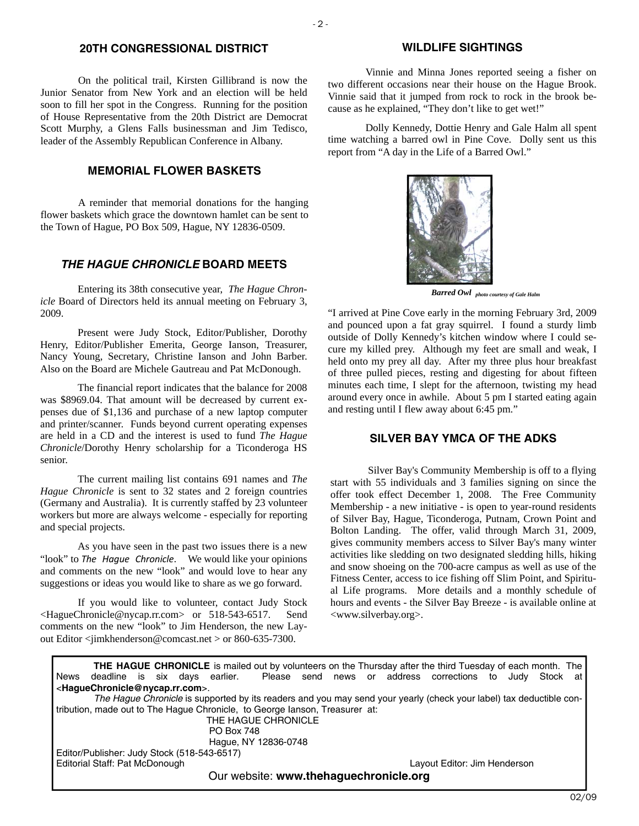## **20TH CONGRESSIONAL DISTRICT**

 On the political trail, Kirsten Gillibrand is now the Junior Senator from New York and an election will be held soon to fill her spot in the Congress. Running for the position of House Representative from the 20th District are Democrat Scott Murphy, a Glens Falls businessman and Jim Tedisco, leader of the Assembly Republican Conference in Albany.

## **MEMORIAL FLOWER BASKETS**

 A reminder that memorial donations for the hanging flower baskets which grace the downtown hamlet can be sent to the Town of Hague, PO Box 509, Hague, NY 12836-0509.

## *THE HAGUE CHRONICLE* **BOARD MEETS**

 Entering its 38th consecutive year, *The Hague Chronicle* Board of Directors held its annual meeting on February 3, 2009.

 Present were Judy Stock, Editor/Publisher, Dorothy Henry, Editor/Publisher Emerita, George Ianson, Treasurer, Nancy Young, Secretary, Christine Ianson and John Barber. Also on the Board are Michele Gautreau and Pat McDonough.

 The financial report indicates that the balance for 2008 was \$8969.04. That amount will be decreased by current expenses due of \$1,136 and purchase of a new laptop computer and printer/scanner. Funds beyond current operating expenses are held in a CD and the interest is used to fund *The Hague Chronicle*/Dorothy Henry scholarship for a Ticonderoga HS senior.

 The current mailing list contains 691 names and *The Hague Chronicle* is sent to 32 states and 2 foreign countries (Germany and Australia). It is currently staffed by 23 volunteer workers but more are always welcome - especially for reporting and special projects.

 As you have seen in the past two issues there is a new "look" to *The Hague Chronicle*. We would like your opinions and comments on the new "look" and would love to hear any suggestions or ideas you would like to share as we go forward.

 If you would like to volunteer, contact Judy Stock <HagueChronicle@nycap.rr.com> or 518-543-6517. Send comments on the new "look" to Jim Henderson, the new Layout Editor <jimkhenderson@comcast.net > or 860-635-7300.

#### **WILDLIFE SIGHTINGS**

 Vinnie and Minna Jones reported seeing a fisher on two different occasions near their house on the Hague Brook. Vinnie said that it jumped from rock to rock in the brook because as he explained, "They don't like to get wet!"

 Dolly Kennedy, Dottie Henry and Gale Halm all spent time watching a barred owl in Pine Cove. Dolly sent us this report from "A day in the Life of a Barred Owl."



*Barred Owl photo courtesy of Gale Halm* 

"I arrived at Pine Cove early in the morning February 3rd, 2009 and pounced upon a fat gray squirrel. I found a sturdy limb outside of Dolly Kennedy's kitchen window where I could secure my killed prey. Although my feet are small and weak, I held onto my prey all day. After my three plus hour breakfast of three pulled pieces, resting and digesting for about fifteen minutes each time, I slept for the afternoon, twisting my head around every once in awhile. About 5 pm I started eating again and resting until I flew away about 6:45 pm."

## **SILVER BAY YMCA OF THE ADKS**

 Silver Bay's Community Membership is off to a flying start with 55 individuals and 3 families signing on since the offer took effect December 1, 2008. The Free Community Membership - a new initiative - is open to year-round residents of Silver Bay, Hague, Ticonderoga, Putnam, Crown Point and Bolton Landing. The offer, valid through March 31, 2009, gives community members access to Silver Bay's many winter activities like sledding on two designated sledding hills, hiking and snow shoeing on the 700-acre campus as well as use of the Fitness Center, access to ice fishing off Slim Point, and Spiritual Life programs. More details and a monthly schedule of hours and events - the Silver Bay Breeze - is available online at <www.silverbay.org>.

**THE HAGUE CHRONICLE** is mailed out by volunteers on the Thursday after the third Tuesday of each month. The deadline is six days earlier. Please send news or address corrections to Judy Stock at News deadline is six days earlier. Please send news or address corrections to Judy Stock at <**HagueChronicle@nycap.rr.com**>. *The Hague Chronicle* is supported by its readers and you may send your yearly (check your label) tax deductible contribution, made out to The Hague Chronicle, to George Ianson, Treasurer at: THE HAGUE CHRONICLE PO Box 748 Hague, NY 12836-0748 Editor/Publisher: Judy Stock (518-543-6517) Editorial Staff: Pat McDonough Layout Editor: Jim Henderson Our website: **www.thehaguechronicle.org**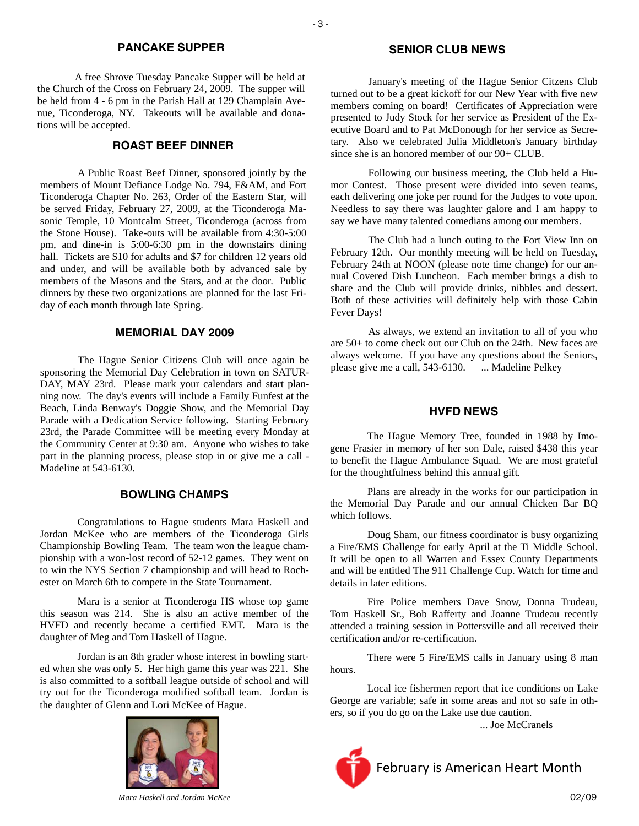#### **PANCAKE SUPPER**

 A free Shrove Tuesday Pancake Supper will be held at the Church of the Cross on February 24, 2009. The supper will be held from 4 - 6 pm in the Parish Hall at 129 Champlain Avenue, Ticonderoga, NY. Takeouts will be available and donations will be accepted.

## **ROAST BEEF DINNER**

A Public Roast Beef Dinner, sponsored jointly by the members of Mount Defiance Lodge No. 794, F&AM, and Fort Ticonderoga Chapter No. 263, Order of the Eastern Star, will be served Friday, February 27, 2009, at the Ticonderoga Masonic Temple, 10 Montcalm Street, Ticonderoga (across from the Stone House). Take-outs will be available from 4:30-5:00 pm, and dine-in is 5:00-6:30 pm in the downstairs dining hall. Tickets are \$10 for adults and \$7 for children 12 years old and under, and will be available both by advanced sale by members of the Masons and the Stars, and at the door. Public dinners by these two organizations are planned for the last Friday of each month through late Spring.

### **MEMORIAL DAY 2009**

The Hague Senior Citizens Club will once again be sponsoring the Memorial Day Celebration in town on SATUR-DAY, MAY 23rd. Please mark your calendars and start planning now. The day's events will include a Family Funfest at the Beach, Linda Benway's Doggie Show, and the Memorial Day Parade with a Dedication Service following. Starting February 23rd, the Parade Committee will be meeting every Monday at the Community Center at 9:30 am. Anyone who wishes to take part in the planning process, please stop in or give me a call - Madeline at 543-6130.

#### **BOWLING CHAMPS**

 Congratulations to Hague students Mara Haskell and Jordan McKee who are members of the Ticonderoga Girls Championship Bowling Team. The team won the league championship with a won-lost record of 52-12 games. They went on to win the NYS Section 7 championship and will head to Rochester on March 6th to compete in the State Tournament.

 Mara is a senior at Ticonderoga HS whose top game this season was 214. She is also an active member of the HVFD and recently became a certified EMT. Mara is the daughter of Meg and Tom Haskell of Hague.

 Jordan is an 8th grader whose interest in bowling started when she was only 5. Her high game this year was 221. She is also committed to a softball league outside of school and will try out for the Ticonderoga modified softball team. Jordan is the daughter of Glenn and Lori McKee of Hague.



#### **SENIOR CLUB NEWS**

 January's meeting of the Hague Senior Citzens Club turned out to be a great kickoff for our New Year with five new members coming on board! Certificates of Appreciation were presented to Judy Stock for her service as President of the Executive Board and to Pat McDonough for her service as Secretary. Also we celebrated Julia Middleton's January birthday since she is an honored member of our 90+ CLUB.

 Following our business meeting, the Club held a Humor Contest. Those present were divided into seven teams, each delivering one joke per round for the Judges to vote upon. Needless to say there was laughter galore and I am happy to say we have many talented comedians among our members.

 The Club had a lunch outing to the Fort View Inn on February 12th. Our monthly meeting will be held on Tuesday, February 24th at NOON (please note time change) for our annual Covered Dish Luncheon. Each member brings a dish to share and the Club will provide drinks, nibbles and dessert. Both of these activities will definitely help with those Cabin Fever Days!

 As always, we extend an invitation to all of you who are 50+ to come check out our Club on the 24th. New faces are always welcome. If you have any questions about the Seniors, please give me a call, 543-6130. ... Madeline Pelkey

#### **HVFD NEWS**

 The Hague Memory Tree, founded in 1988 by Imogene Frasier in memory of her son Dale, raised \$438 this year to benefit the Hague Ambulance Squad. We are most grateful for the thoughtfulness behind this annual gift.

 Plans are already in the works for our participation in the Memorial Day Parade and our annual Chicken Bar BQ which follows.

 Doug Sham, our fitness coordinator is busy organizing a Fire/EMS Challenge for early April at the Ti Middle School. It will be open to all Warren and Essex County Departments and will be entitled The 911 Challenge Cup. Watch for time and details in later editions.

 Fire Police members Dave Snow, Donna Trudeau, Tom Haskell Sr., Bob Rafferty and Joanne Trudeau recently attended a training session in Pottersville and all received their certification and/or re-certification.

 There were 5 Fire/EMS calls in January using 8 man hours.

 Local ice fishermen report that ice conditions on Lake George are variable; safe in some areas and not so safe in others, so if you do go on the Lake use due caution.

... Joe McCranels



02/09 *Mara Haskell and Jordan McKee*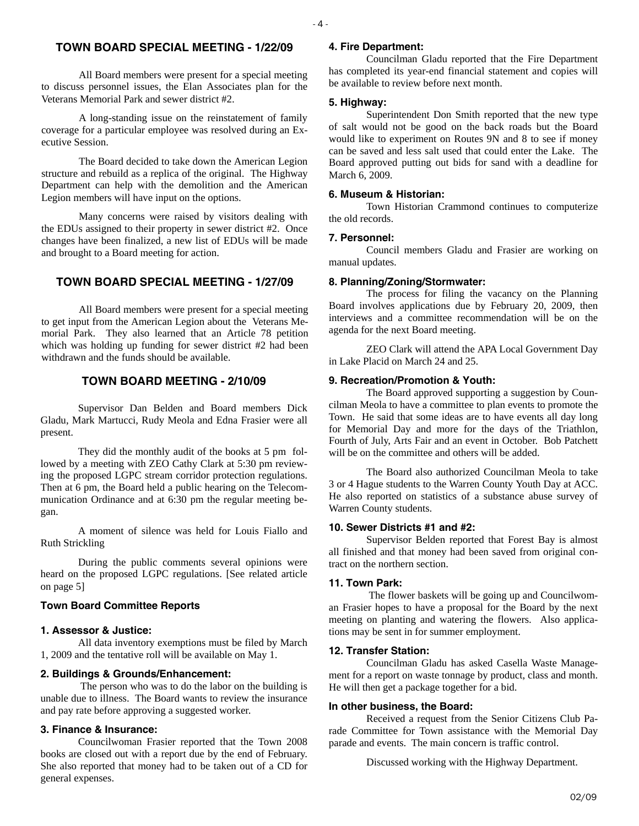## **TOWN BOARD SPECIAL MEETING - 1/22/09**

 $-4-$ 

 All Board members were present for a special meeting to discuss personnel issues, the Elan Associates plan for the Veterans Memorial Park and sewer district #2.

 A long-standing issue on the reinstatement of family coverage for a particular employee was resolved during an Executive Session.

 The Board decided to take down the American Legion structure and rebuild as a replica of the original. The Highway Department can help with the demolition and the American Legion members will have input on the options.

 Many concerns were raised by visitors dealing with the EDUs assigned to their property in sewer district #2. Once changes have been finalized, a new list of EDUs will be made and brought to a Board meeting for action.

## **TOWN BOARD SPECIAL MEETING - 1/27/09**

 All Board members were present for a special meeting to get input from the American Legion about the Veterans Memorial Park. They also learned that an Article 78 petition which was holding up funding for sewer district #2 had been withdrawn and the funds should be available.

## **TOWN BOARD MEETING - 2/10/09**

 Supervisor Dan Belden and Board members Dick Gladu, Mark Martucci, Rudy Meola and Edna Frasier were all present.

 They did the monthly audit of the books at 5 pm followed by a meeting with ZEO Cathy Clark at 5:30 pm reviewing the proposed LGPC stream corridor protection regulations. Then at 6 pm, the Board held a public hearing on the Telecommunication Ordinance and at 6:30 pm the regular meeting began.

 A moment of silence was held for Louis Fiallo and Ruth Strickling

 During the public comments several opinions were heard on the proposed LGPC regulations. [See related article on page 5]

#### **Town Board Committee Reports**

#### **1. Assessor & Justice:**

 All data inventory exemptions must be filed by March 1, 2009 and the tentative roll will be available on May 1.

#### **2. Buildings & Grounds/Enhancement:**

 The person who was to do the labor on the building is unable due to illness. The Board wants to review the insurance and pay rate before approving a suggested worker.

#### **3. Finance & Insurance:**

 Councilwoman Frasier reported that the Town 2008 books are closed out with a report due by the end of February. She also reported that money had to be taken out of a CD for general expenses.

#### **4. Fire Department:**

 Councilman Gladu reported that the Fire Department has completed its year-end financial statement and copies will be available to review before next month.

#### **5. Highway:**

 Superintendent Don Smith reported that the new type of salt would not be good on the back roads but the Board would like to experiment on Routes 9N and 8 to see if money can be saved and less salt used that could enter the Lake. The Board approved putting out bids for sand with a deadline for March 6, 2009.

#### **6. Museum & Historian:**

 Town Historian Crammond continues to computerize the old records.

#### **7. Personnel:**

 Council members Gladu and Frasier are working on manual updates.

## **8. Planning/Zoning/Stormwater:**

 The process for filing the vacancy on the Planning Board involves applications due by February 20, 2009, then interviews and a committee recommendation will be on the agenda for the next Board meeting.

 ZEO Clark will attend the APA Local Government Day in Lake Placid on March 24 and 25.

#### **9. Recreation/Promotion & Youth:**

 The Board approved supporting a suggestion by Councilman Meola to have a committee to plan events to promote the Town. He said that some ideas are to have events all day long for Memorial Day and more for the days of the Triathlon, Fourth of July, Arts Fair and an event in October. Bob Patchett will be on the committee and others will be added.

 The Board also authorized Councilman Meola to take 3 or 4 Hague students to the Warren County Youth Day at ACC. He also reported on statistics of a substance abuse survey of Warren County students.

## **10. Sewer Districts #1 and #2:**

 Supervisor Belden reported that Forest Bay is almost all finished and that money had been saved from original contract on the northern section.

## **11. Town Park:**

 The flower baskets will be going up and Councilwoman Frasier hopes to have a proposal for the Board by the next meeting on planting and watering the flowers. Also applications may be sent in for summer employment.

#### **12. Transfer Station:**

 Councilman Gladu has asked Casella Waste Management for a report on waste tonnage by product, class and month. He will then get a package together for a bid.

#### **In other business, the Board:**

 Received a request from the Senior Citizens Club Parade Committee for Town assistance with the Memorial Day parade and events. The main concern is traffic control.

Discussed working with the Highway Department.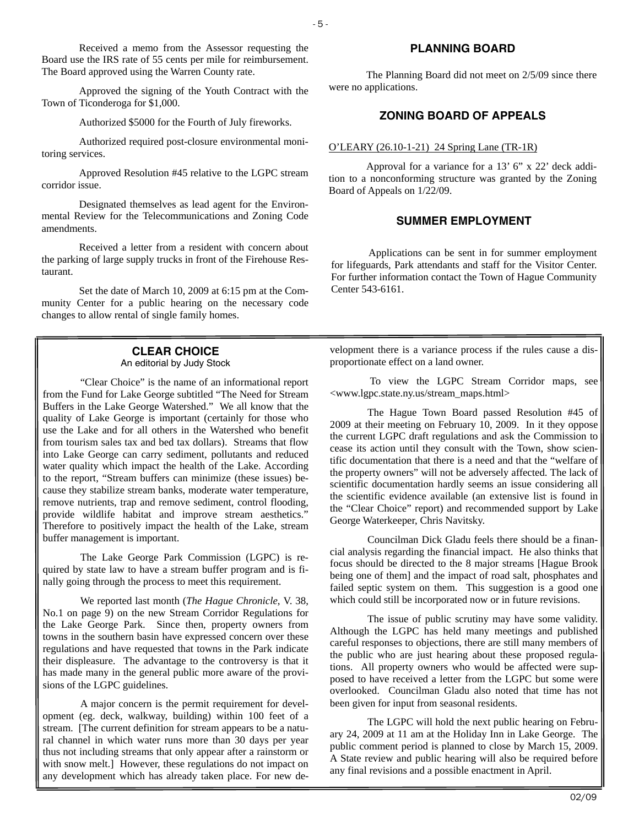Received a memo from the Assessor requesting the Board use the IRS rate of 55 cents per mile for reimbursement. The Board approved using the Warren County rate.

 Approved the signing of the Youth Contract with the Town of Ticonderoga for \$1,000.

Authorized \$5000 for the Fourth of July fireworks.

 Authorized required post-closure environmental monitoring services.

 Approved Resolution #45 relative to the LGPC stream corridor issue.

 Designated themselves as lead agent for the Environmental Review for the Telecommunications and Zoning Code amendments.

 Received a letter from a resident with concern about the parking of large supply trucks in front of the Firehouse Restaurant.

 Set the date of March 10, 2009 at 6:15 pm at the Community Center for a public hearing on the necessary code changes to allow rental of single family homes.

## **CLEAR CHOICE**

An editorial by Judy Stock

 "Clear Choice" is the name of an informational report from the Fund for Lake George subtitled "The Need for Stream Buffers in the Lake George Watershed." We all know that the quality of Lake George is important (certainly for those who use the Lake and for all others in the Watershed who benefit from tourism sales tax and bed tax dollars). Streams that flow into Lake George can carry sediment, pollutants and reduced water quality which impact the health of the Lake. According to the report, "Stream buffers can minimize (these issues) because they stabilize stream banks, moderate water temperature, remove nutrients, trap and remove sediment, control flooding, provide wildlife habitat and improve stream aesthetics." Therefore to positively impact the health of the Lake, stream buffer management is important.

 The Lake George Park Commission (LGPC) is required by state law to have a stream buffer program and is finally going through the process to meet this requirement.

 We reported last month (*The Hague Chronicle*, V. 38, No.1 on page 9) on the new Stream Corridor Regulations for the Lake George Park. Since then, property owners from towns in the southern basin have expressed concern over these regulations and have requested that towns in the Park indicate their displeasure. The advantage to the controversy is that it has made many in the general public more aware of the provisions of the LGPC guidelines.

 A major concern is the permit requirement for development (eg. deck, walkway, building) within 100 feet of a stream. [The current definition for stream appears to be a natural channel in which water runs more than 30 days per year thus not including streams that only appear after a rainstorm or with snow melt.] However, these regulations do not impact on any development which has already taken place. For new de-

## **PLANNING BOARD**

 The Planning Board did not meet on 2/5/09 since there were no applications.

## **ZONING BOARD OF APPEALS**

#### O'LEARY (26.10-1-21) 24 Spring Lane (TR-1R)

 Approval for a variance for a 13' 6" x 22' deck addition to a nonconforming structure was granted by the Zoning Board of Appeals on 1/22/09.

## **SUMMER EMPLOYMENT**

 Applications can be sent in for summer employment for lifeguards, Park attendants and staff for the Visitor Center. For further information contact the Town of Hague Community Center 543-6161.

velopment there is a variance process if the rules cause a disproportionate effect on a land owner.

 To view the LGPC Stream Corridor maps, see <www.lgpc.state.ny.us/stream\_maps.html>

 The Hague Town Board passed Resolution #45 of 2009 at their meeting on February 10, 2009. In it they oppose the current LGPC draft regulations and ask the Commission to cease its action until they consult with the Town, show scientific documentation that there is a need and that the "welfare of the property owners" will not be adversely affected. The lack of scientific documentation hardly seems an issue considering all the scientific evidence available (an extensive list is found in the "Clear Choice" report) and recommended support by Lake George Waterkeeper, Chris Navitsky.

 Councilman Dick Gladu feels there should be a financial analysis regarding the financial impact. He also thinks that focus should be directed to the 8 major streams [Hague Brook being one of them] and the impact of road salt, phosphates and failed septic system on them. This suggestion is a good one which could still be incorporated now or in future revisions.

 The issue of public scrutiny may have some validity. Although the LGPC has held many meetings and published careful responses to objections, there are still many members of the public who are just hearing about these proposed regulations. All property owners who would be affected were supposed to have received a letter from the LGPC but some were overlooked. Councilman Gladu also noted that time has not been given for input from seasonal residents.

 The LGPC will hold the next public hearing on February 24, 2009 at 11 am at the Holiday Inn in Lake George. The public comment period is planned to close by March 15, 2009. A State review and public hearing will also be required before any final revisions and a possible enactment in April.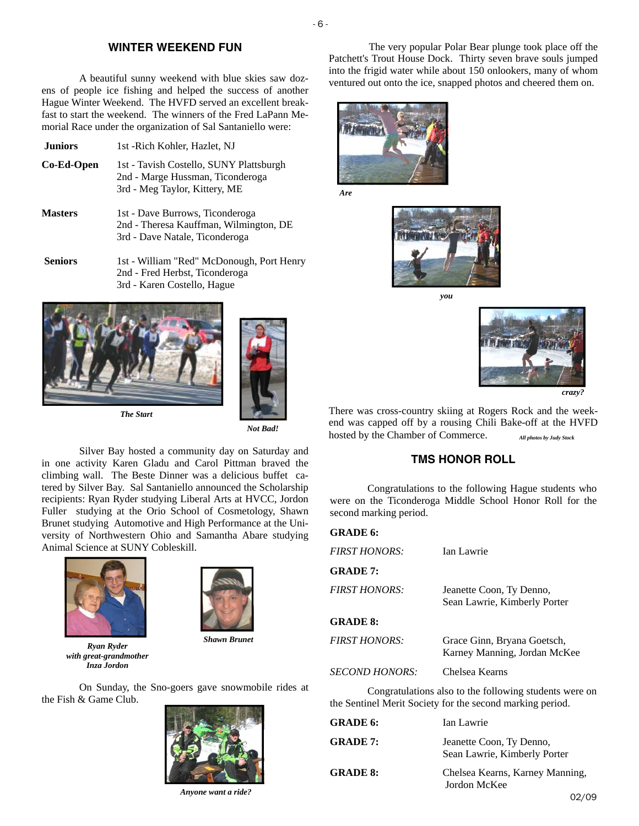## **WINTER WEEKEND FUN**

- 6 -

A beautiful sunny weekend with blue skies saw dozens of people ice fishing and helped the success of another Hague Winter Weekend. The HVFD served an excellent breakfast to start the weekend. The winners of the Fred LaPann Memorial Race under the organization of Sal Santaniello were:

- **Juniors** 1st -Rich Kohler, Hazlet, NJ
- **Co-Ed-Open** 1st Tavish Costello, SUNY Plattsburgh 2nd - Marge Hussman, Ticonderoga 3rd - Meg Taylor, Kittery, ME
- **Masters** 1st Dave Burrows, Ticonderoga 2nd - Theresa Kauffman, Wilmington, DE 3rd - Dave Natale, Ticonderoga
- **Seniors** 1st William "Red" McDonough, Port Henry 2nd - Fred Herbst, Ticonderoga 3rd - Karen Costello, Hague



*Not Bad!* 

 Silver Bay hosted a community day on Saturday and in one activity Karen Gladu and Carol Pittman braved the climbing wall. The Beste Dinner was a delicious buffet catered by Silver Bay. Sal Santaniello announced the Scholarship recipients: Ryan Ryder studying Liberal Arts at HVCC, Jordon Fuller studying at the Orio School of Cosmetology, Shawn Brunet studying Automotive and High Performance at the University of Northwestern Ohio and Samantha Abare studying Animal Science at SUNY Cobleskill.





*Ryan Ryder with great-grandmother Inza Jordon* 

*Shawn Brunet* 

On Sunday, the Sno-goers gave snowmobile rides at the Fish & Game Club.



 $\mu$ <sub>02/09</sub>  $\mu$ <sub>02/09</sub>  $\mu$ <sub>02/09</sub>  $\mu$ <sub>02/09</sub>  $\mu$ <sub>02/09</sub>  $\mu$ <sub>02/09</sub>  $\mu$ <sub>0</sub> *Anyone want a ride?* 

 The very popular Polar Bear plunge took place off the Patchett's Trout House Dock. Thirty seven brave souls jumped into the frigid water while about 150 onlookers, many of whom ventured out onto the ice, snapped photos and cheered them on.



*Are* 



*you* 



There was cross-country skiing at Rogers Rock and the weekend was capped off by a rousing Chili Bake-off at the HVFD hosted by the Chamber of Commerce. *All photos by Judy Stock* 

## **TMS HONOR ROLL**

 Congratulations to the following Hague students who were on the Ticonderoga Middle School Honor Roll for the second marking period.

| <b>GRADE 6:</b>                                                                                                     |                                                             |
|---------------------------------------------------------------------------------------------------------------------|-------------------------------------------------------------|
| <b>FIRST HONORS:</b>                                                                                                | Ian Lawrie                                                  |
| <b>GRADE 7:</b>                                                                                                     |                                                             |
| <b>FIRST HONORS:</b>                                                                                                | Jeanette Coon, Ty Denno,<br>Sean Lawrie, Kimberly Porter    |
| <b>GRADE 8:</b>                                                                                                     |                                                             |
| <b>FIRST HONORS:</b>                                                                                                | Grace Ginn, Bryana Goetsch,<br>Karney Manning, Jordan McKee |
| <i>SECOND HONORS:</i>                                                                                               | Chelsea Kearns                                              |
| Congratulations also to the following students were on<br>the Sentinel Merit Society for the second marking period. |                                                             |

| <b>GRADE 6:</b> | Ian Lawrie                                               |
|-----------------|----------------------------------------------------------|
| <b>GRADE 7:</b> | Jeanette Coon, Ty Denno,<br>Sean Lawrie, Kimberly Porter |
| <b>GRADE 8:</b> | Chelsea Kearns, Karney Manning,<br>Jordon McKee          |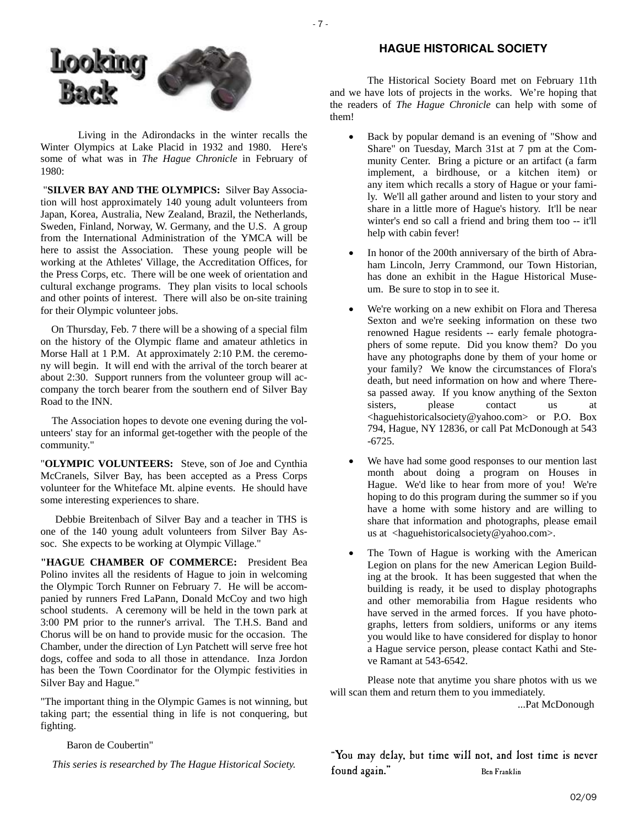



Living in the Adirondacks in the winter recalls the Winter Olympics at Lake Placid in 1932 and 1980. Here's some of what was in *The Hague Chronicle* in February of 1980:

 "**SILVER BAY AND THE OLYMPICS:** Silver Bay Association will host approximately 140 young adult volunteers from Japan, Korea, Australia, New Zealand, Brazil, the Netherlands, Sweden, Finland, Norway, W. Germany, and the U.S. A group from the International Administration of the YMCA will be here to assist the Association. These young people will be working at the Athletes' Village, the Accreditation Offices, for the Press Corps, etc. There will be one week of orientation and cultural exchange programs. They plan visits to local schools and other points of interest. There will also be on-site training for their Olympic volunteer jobs.

 On Thursday, Feb. 7 there will be a showing of a special film on the history of the Olympic flame and amateur athletics in Morse Hall at 1 P.M. At approximately 2:10 P.M. the ceremony will begin. It will end with the arrival of the torch bearer at about 2:30. Support runners from the volunteer group will accompany the torch bearer from the southern end of Silver Bay Road to the INN.

 The Association hopes to devote one evening during the volunteers' stay for an informal get-together with the people of the community."

"**OLYMPIC VOLUNTEERS:** Steve, son of Joe and Cynthia McCranels, Silver Bay, has been accepted as a Press Corps volunteer for the Whiteface Mt. alpine events. He should have some interesting experiences to share.

 Debbie Breitenbach of Silver Bay and a teacher in THS is one of the 140 young adult volunteers from Silver Bay Assoc. She expects to be working at Olympic Village."

**"HAGUE CHAMBER OF COMMERCE:** President Bea Polino invites all the residents of Hague to join in welcoming the Olympic Torch Runner on February 7. He will be accompanied by runners Fred LaPann, Donald McCoy and two high school students. A ceremony will be held in the town park at 3:00 PM prior to the runner's arrival. The T.H.S. Band and Chorus will be on hand to provide music for the occasion. The Chamber, under the direction of Lyn Patchett will serve free hot dogs, coffee and soda to all those in attendance. Inza Jordon has been the Town Coordinator for the Olympic festivities in Silver Bay and Hague."

"The important thing in the Olympic Games is not winning, but taking part; the essential thing in life is not conquering, but fighting.

Baron de Coubertin"

*This series is researched by The Hague Historical Society.* 

## **HAGUE HISTORICAL SOCIETY**

 The Historical Society Board met on February 11th and we have lots of projects in the works. We're hoping that the readers of *The Hague Chronicle* can help with some of them!

- Back by popular demand is an evening of "Show and Share" on Tuesday, March 31st at 7 pm at the Community Center. Bring a picture or an artifact (a farm implement, a birdhouse, or a kitchen item) or any item which recalls a story of Hague or your family. We'll all gather around and listen to your story and share in a little more of Hague's history. It'll be near winter's end so call a friend and bring them too -- it'll help with cabin fever!
- In honor of the 200th anniversary of the birth of Abraham Lincoln, Jerry Crammond, our Town Historian, has done an exhibit in the Hague Historical Museum. Be sure to stop in to see it.
- We're working on a new exhibit on Flora and Theresa Sexton and we're seeking information on these two renowned Hague residents -- early female photographers of some repute. Did you know them? Do you have any photographs done by them of your home or your family? We know the circumstances of Flora's death, but need information on how and where Theresa passed away. If you know anything of the Sexton sisters, please contact us at <haguehistoricalsociety@yahoo.com> or P.O. Box 794, Hague, NY 12836, or call Pat McDonough at 543 -6725.
- We have had some good responses to our mention last month about doing a program on Houses in Hague. We'd like to hear from more of you! We're hoping to do this program during the summer so if you have a home with some history and are willing to share that information and photographs, please email us at <haguehistoricalsociety@yahoo.com>.
- The Town of Hague is working with the American Legion on plans for the new American Legion Building at the brook. It has been suggested that when the building is ready, it be used to display photographs and other memorabilia from Hague residents who have served in the armed forces. If you have photographs, letters from soldiers, uniforms or any items you would like to have considered for display to honor a Hague service person, please contact Kathi and Steve Ramant at 543-6542.

 Please note that anytime you share photos with us we will scan them and return them to you immediately.

...Pat McDonough

"You may delay, but time will not, and lost time is never found again." Ben Franklin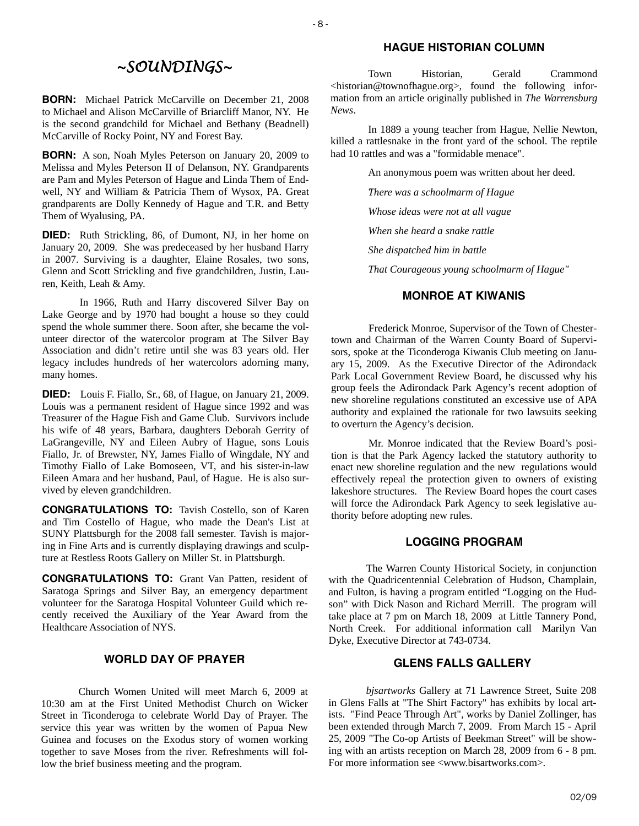# *~SOUNDINGS~*

 $-8$  -

**BORN:** Michael Patrick McCarville on December 21, 2008 to Michael and Alison McCarville of Briarcliff Manor, NY. He is the second grandchild for Michael and Bethany (Beadnell) McCarville of Rocky Point, NY and Forest Bay.

**BORN:** A son, Noah Myles Peterson on January 20, 2009 to Melissa and Myles Peterson II of Delanson, NY. Grandparents are Pam and Myles Peterson of Hague and Linda Them of Endwell, NY and William & Patricia Them of Wysox, PA. Great grandparents are Dolly Kennedy of Hague and T.R. and Betty Them of Wyalusing, PA.

**DIED:** Ruth Strickling, 86, of Dumont, NJ, in her home on January 20, 2009. She was predeceased by her husband Harry in 2007. Surviving is a daughter, Elaine Rosales, two sons, Glenn and Scott Strickling and five grandchildren, Justin, Lauren, Keith, Leah & Amy.

In 1966, Ruth and Harry discovered Silver Bay on Lake George and by 1970 had bought a house so they could spend the whole summer there. Soon after, she became the volunteer director of the watercolor program at The Silver Bay Association and didn't retire until she was 83 years old. Her legacy includes hundreds of her watercolors adorning many, many homes.

**DIED:** Louis F. Fiallo, Sr., 68, of Hague, on January 21, 2009. Louis was a permanent resident of Hague since 1992 and was Treasurer of the Hague Fish and Game Club. Survivors include his wife of 48 years, Barbara, daughters Deborah Gerrity of LaGrangeville, NY and Eileen Aubry of Hague, sons Louis Fiallo, Jr. of Brewster, NY, James Fiallo of Wingdale, NY and Timothy Fiallo of Lake Bomoseen, VT, and his sister-in-law Eileen Amara and her husband, Paul, of Hague. He is also survived by eleven grandchildren.

**CONGRATULATIONS TO:** Tavish Costello, son of Karen and Tim Costello of Hague, who made the Dean's List at SUNY Plattsburgh for the 2008 fall semester. Tavish is majoring in Fine Arts and is currently displaying drawings and sculpture at Restless Roots Gallery on Miller St. in Plattsburgh.

**CONGRATULATIONS TO:** Grant Van Patten, resident of Saratoga Springs and Silver Bay, an emergency department volunteer for the Saratoga Hospital Volunteer Guild which recently received the Auxiliary of the Year Award from the Healthcare Association of NYS.

## **WORLD DAY OF PRAYER**

Church Women United will meet March 6, 2009 at 10:30 am at the First United Methodist Church on Wicker Street in Ticonderoga to celebrate World Day of Prayer. The service this year was written by the women of Papua New Guinea and focuses on the Exodus story of women working together to save Moses from the river. Refreshments will follow the brief business meeting and the program.

## **HAGUE HISTORIAN COLUMN**

 Town Historian, Gerald Crammond <historian@townofhague.org>, found the following information from an article originally published in *The Warrensburg News*.

 In 1889 a young teacher from Hague, Nellie Newton, killed a rattlesnake in the front yard of the school. The reptile had 10 rattles and was a "formidable menace".

An anonymous poem was written about her deed.

*"There was a schoolmarm of Hague* 

 *Whose ideas were not at all vague* 

 *When she heard a snake rattle* 

 *She dispatched him in battle* 

 *That Courageous young schoolmarm of Hague"*

#### **MONROE AT KIWANIS**

 Frederick Monroe, Supervisor of the Town of Chestertown and Chairman of the Warren County Board of Supervisors, spoke at the Ticonderoga Kiwanis Club meeting on January 15, 2009. As the Executive Director of the Adirondack Park Local Government Review Board, he discussed why his group feels the Adirondack Park Agency's recent adoption of new shoreline regulations constituted an excessive use of APA authority and explained the rationale for two lawsuits seeking to overturn the Agency's decision.

 Mr. Monroe indicated that the Review Board's position is that the Park Agency lacked the statutory authority to enact new shoreline regulation and the new regulations would effectively repeal the protection given to owners of existing lakeshore structures. The Review Board hopes the court cases will force the Adirondack Park Agency to seek legislative authority before adopting new rules.

## **LOGGING PROGRAM**

 The Warren County Historical Society, in conjunction with the Quadricentennial Celebration of Hudson, Champlain, and Fulton, is having a program entitled "Logging on the Hudson" with Dick Nason and Richard Merrill. The program will take place at 7 pm on March 18, 2009 at Little Tannery Pond, North Creek. For additional information call Marilyn Van Dyke, Executive Director at 743-0734.

## **GLENS FALLS GALLERY**

*bjsartworks* Gallery at 71 Lawrence Street, Suite 208 in Glens Falls at "The Shirt Factory" has exhibits by local artists. "Find Peace Through Art", works by Daniel Zollinger, has been extended through March 7, 2009. From March 15 - April 25, 2009 "The Co-op Artists of Beekman Street" will be showing with an artists reception on March 28, 2009 from 6 - 8 pm. For more information see <www.bisartworks.com>.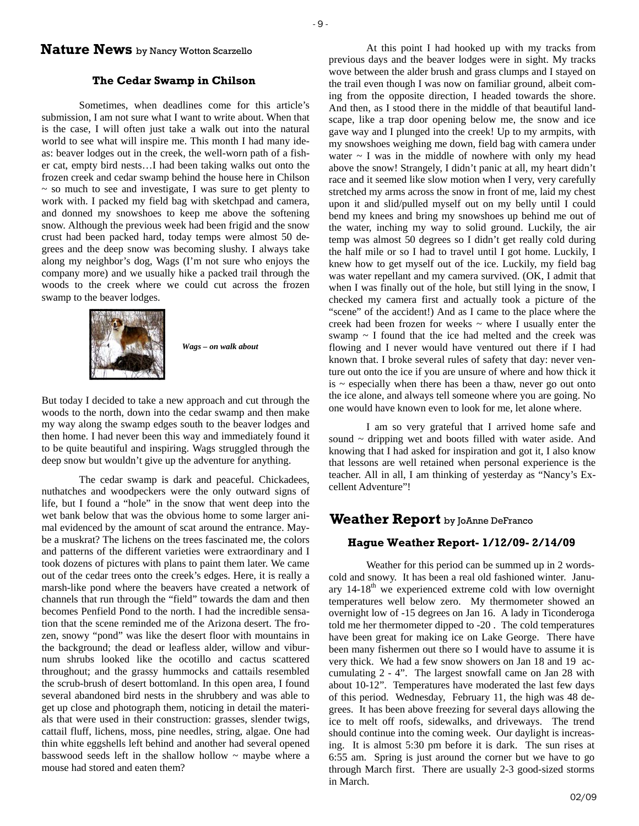## **Nature News** by Nancy Wotton Scarzello

#### **The Cedar Swamp in Chilson**

 Sometimes, when deadlines come for this article's submission, I am not sure what I want to write about. When that is the case, I will often just take a walk out into the natural world to see what will inspire me. This month I had many ideas: beaver lodges out in the creek, the well-worn path of a fisher cat, empty bird nests…I had been taking walks out onto the frozen creek and cedar swamp behind the house here in Chilson  $\sim$  so much to see and investigate, I was sure to get plenty to work with. I packed my field bag with sketchpad and camera, and donned my snowshoes to keep me above the softening snow. Although the previous week had been frigid and the snow crust had been packed hard, today temps were almost 50 degrees and the deep snow was becoming slushy. I always take along my neighbor's dog, Wags (I'm not sure who enjoys the company more) and we usually hike a packed trail through the woods to the creek where we could cut across the frozen swamp to the beaver lodges.



*Wags – on walk about* 

But today I decided to take a new approach and cut through the woods to the north, down into the cedar swamp and then make my way along the swamp edges south to the beaver lodges and then home. I had never been this way and immediately found it to be quite beautiful and inspiring. Wags struggled through the deep snow but wouldn't give up the adventure for anything.

 The cedar swamp is dark and peaceful. Chickadees, nuthatches and woodpeckers were the only outward signs of life, but I found a "hole" in the snow that went deep into the wet bank below that was the obvious home to some larger animal evidenced by the amount of scat around the entrance. Maybe a muskrat? The lichens on the trees fascinated me, the colors and patterns of the different varieties were extraordinary and I took dozens of pictures with plans to paint them later. We came out of the cedar trees onto the creek's edges. Here, it is really a marsh-like pond where the beavers have created a network of channels that run through the "field" towards the dam and then becomes Penfield Pond to the north. I had the incredible sensation that the scene reminded me of the Arizona desert. The frozen, snowy "pond" was like the desert floor with mountains in the background; the dead or leafless alder, willow and viburnum shrubs looked like the ocotillo and cactus scattered throughout; and the grassy hummocks and cattails resembled the scrub-brush of desert bottomland. In this open area, I found several abandoned bird nests in the shrubbery and was able to get up close and photograph them, noticing in detail the materials that were used in their construction: grasses, slender twigs, cattail fluff, lichens, moss, pine needles, string, algae. One had thin white eggshells left behind and another had several opened basswood seeds left in the shallow hollow  $\sim$  maybe where a mouse had stored and eaten them?

 At this point I had hooked up with my tracks from previous days and the beaver lodges were in sight. My tracks wove between the alder brush and grass clumps and I stayed on the trail even though I was now on familiar ground, albeit coming from the opposite direction, I headed towards the shore. And then, as I stood there in the middle of that beautiful landscape, like a trap door opening below me, the snow and ice gave way and I plunged into the creek! Up to my armpits, with my snowshoes weighing me down, field bag with camera under water  $\sim$  I was in the middle of nowhere with only my head above the snow! Strangely, I didn't panic at all, my heart didn't race and it seemed like slow motion when I very, very carefully stretched my arms across the snow in front of me, laid my chest upon it and slid/pulled myself out on my belly until I could bend my knees and bring my snowshoes up behind me out of the water, inching my way to solid ground. Luckily, the air temp was almost 50 degrees so I didn't get really cold during the half mile or so I had to travel until I got home. Luckily, I knew how to get myself out of the ice. Luckily, my field bag was water repellant and my camera survived. (OK, I admit that when I was finally out of the hole, but still lying in the snow, I checked my camera first and actually took a picture of the "scene" of the accident!) And as I came to the place where the creek had been frozen for weeks ~ where I usually enter the swamp  $\sim$  I found that the ice had melted and the creek was flowing and I never would have ventured out there if I had known that. I broke several rules of safety that day: never venture out onto the ice if you are unsure of where and how thick it is  $\sim$  especially when there has been a thaw, never go out onto the ice alone, and always tell someone where you are going. No one would have known even to look for me, let alone where.

 I am so very grateful that I arrived home safe and sound ~ dripping wet and boots filled with water aside. And knowing that I had asked for inspiration and got it, I also know that lessons are well retained when personal experience is the teacher. All in all, I am thinking of yesterday as "Nancy's Excellent Adventure"!

## **Weather Report** by JoAnne DeFranco

#### **Hague Weather Report- 1/12/09- 2/14/09**

 Weather for this period can be summed up in 2 wordscold and snowy. It has been a real old fashioned winter. January  $14-18<sup>th</sup>$  we experienced extreme cold with low overnight temperatures well below zero. My thermometer showed an overnight low of -15 degrees on Jan 16. A lady in Ticonderoga told me her thermometer dipped to -20 . The cold temperatures have been great for making ice on Lake George. There have been many fishermen out there so I would have to assume it is very thick. We had a few snow showers on Jan 18 and 19 accumulating 2 - 4". The largest snowfall came on Jan 28 with about 10-12". Temperatures have moderated the last few days of this period. Wednesday, February 11, the high was 48 degrees. It has been above freezing for several days allowing the ice to melt off roofs, sidewalks, and driveways. The trend should continue into the coming week. Our daylight is increasing. It is almost 5:30 pm before it is dark. The sun rises at 6:55 am. Spring is just around the corner but we have to go through March first. There are usually 2-3 good-sized storms in March.